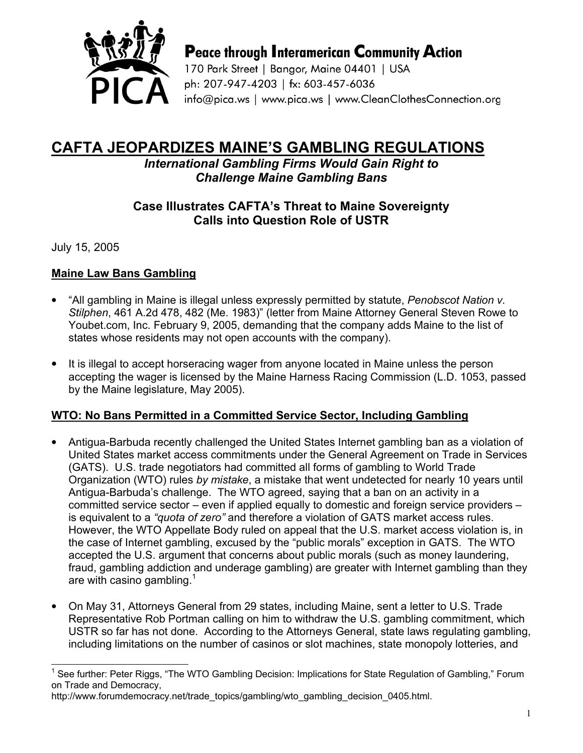

**Peace through Interamerican Community Action** 

170 Park Street | Bangor, Maine 04401 | USA ph: 207-947-4203 | fx: 603-457-6036 info@pica.ws | www.pica.ws | www.CleanClothesConnection.org

# CAFTA JEOPARDIZES MAINE'S GAMBLING REGULATIONS

International Gambling Firms Would Gain Right to Challenge Maine Gambling Bans

## Case Illustrates CAFTA's Threat to Maine Sovereignty Calls into Question Role of USTR

July 15, 2005

 $\overline{a}$ 

## Maine Law Bans Gambling

- "All gambling in Maine is illegal unless expressly permitted by statute, Penobscot Nation v. Stilphen, 461 A.2d 478, 482 (Me. 1983)" (letter from Maine Attorney General Steven Rowe to Youbet.com, Inc. February 9, 2005, demanding that the company adds Maine to the list of states whose residents may not open accounts with the company).
- It is illegal to accept horseracing wager from anyone located in Maine unless the person accepting the wager is licensed by the Maine Harness Racing Commission (L.D. 1053, passed by the Maine legislature, May 2005).

#### WTO: No Bans Permitted in a Committed Service Sector, Including Gambling

- Antigua-Barbuda recently challenged the United States Internet gambling ban as a violation of United States market access commitments under the General Agreement on Trade in Services (GATS). U.S. trade negotiators had committed all forms of gambling to World Trade Organization (WTO) rules by mistake, a mistake that went undetected for nearly 10 years until Antigua-Barbuda's challenge. The WTO agreed, saying that a ban on an activity in a committed service sector – even if applied equally to domestic and foreign service providers – is equivalent to a "quota of zero" and therefore a violation of GATS market access rules. However, the WTO Appellate Body ruled on appeal that the U.S. market access violation is, in the case of Internet gambling, excused by the "public morals" exception in GATS. The WTO accepted the U.S. argument that concerns about public morals (such as money laundering, fraud, gambling addiction and underage gambling) are greater with Internet gambling than they are with casino gambling. $<sup>1</sup>$ </sup>
- On May 31, Attorneys General from 29 states, including Maine, sent a letter to U.S. Trade Representative Rob Portman calling on him to withdraw the U.S. gambling commitment, which USTR so far has not done. According to the Attorneys General, state laws regulating gambling, including limitations on the number of casinos or slot machines, state monopoly lotteries, and

<sup>1</sup> See further: Peter Riggs, "The WTO Gambling Decision: Implications for State Regulation of Gambling," Forum on Trade and Democracy,

http://www.forumdemocracy.net/trade\_topics/gambling/wto\_gambling\_decision\_0405.html.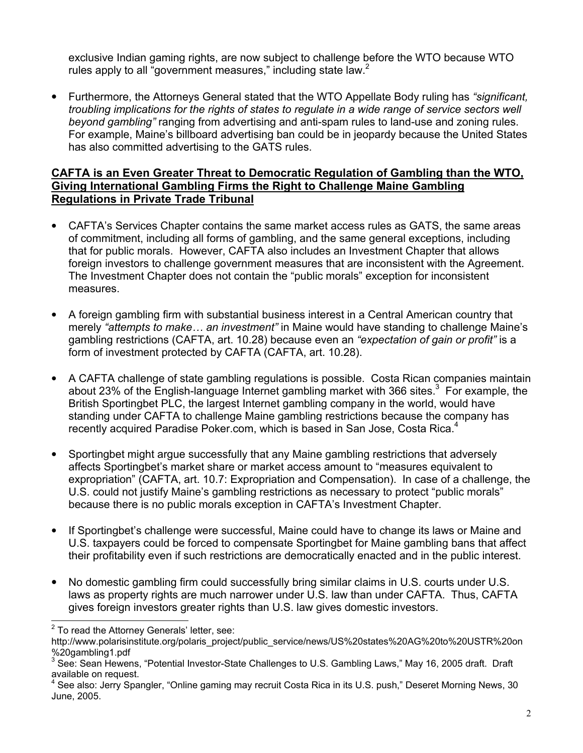exclusive Indian gaming rights, are now subject to challenge before the WTO because WTO rules apply to all "government measures," including state law. $<sup>2</sup>$ </sup>

• Furthermore, the Attorneys General stated that the WTO Appellate Body ruling has "significant, troubling implications for the rights of states to regulate in a wide range of service sectors well beyond gambling" ranging from advertising and anti-spam rules to land-use and zoning rules. For example, Maine's billboard advertising ban could be in jeopardy because the United States has also committed advertising to the GATS rules.

#### CAFTA is an Even Greater Threat to Democratic Regulation of Gambling than the WTO, Giving International Gambling Firms the Right to Challenge Maine Gambling Regulations in Private Trade Tribunal

- CAFTA's Services Chapter contains the same market access rules as GATS, the same areas of commitment, including all forms of gambling, and the same general exceptions, including that for public morals. However, CAFTA also includes an Investment Chapter that allows foreign investors to challenge government measures that are inconsistent with the Agreement. The Investment Chapter does not contain the "public morals" exception for inconsistent measures.
- A foreign gambling firm with substantial business interest in a Central American country that merely "attempts to make... an investment" in Maine would have standing to challenge Maine's gambling restrictions (CAFTA, art. 10.28) because even an "expectation of gain or profit" is a form of investment protected by CAFTA (CAFTA, art. 10.28).
- A CAFTA challenge of state gambling regulations is possible. Costa Rican companies maintain about 23% of the English-language Internet gambling market with 366 sites. $3$  For example, the British Sportingbet PLC, the largest Internet gambling company in the world, would have standing under CAFTA to challenge Maine gambling restrictions because the company has recently acquired Paradise Poker.com, which is based in San Jose, Costa Rica.<sup>4</sup>
- Sportingbet might argue successfully that any Maine gambling restrictions that adversely affects Sportingbet's market share or market access amount to "measures equivalent to expropriation" (CAFTA, art. 10.7: Expropriation and Compensation). In case of a challenge, the U.S. could not justify Maine's gambling restrictions as necessary to protect "public morals" because there is no public morals exception in CAFTA's Investment Chapter.
- If Sportingbet's challenge were successful, Maine could have to change its laws or Maine and U.S. taxpayers could be forced to compensate Sportingbet for Maine gambling bans that affect their profitability even if such restrictions are democratically enacted and in the public interest.
- No domestic gambling firm could successfully bring similar claims in U.S. courts under U.S. laws as property rights are much narrower under U.S. law than under CAFTA. Thus, CAFTA gives foreign investors greater rights than U.S. law gives domestic investors.  $\overline{a}$

 $2$  To read the Attorney Generals' letter, see:

http://www.polarisinstitute.org/polaris\_project/public\_service/news/US%20states%20AG%20to%20USTR%20on %20gambling1.pdf

<sup>3</sup> See: Sean Hewens, "Potential Investor-State Challenges to U.S. Gambling Laws," May 16, 2005 draft. Draft available on request.

<sup>4</sup> See also: Jerry Spangler, "Online gaming may recruit Costa Rica in its U.S. push," Deseret Morning News, 30 June, 2005.